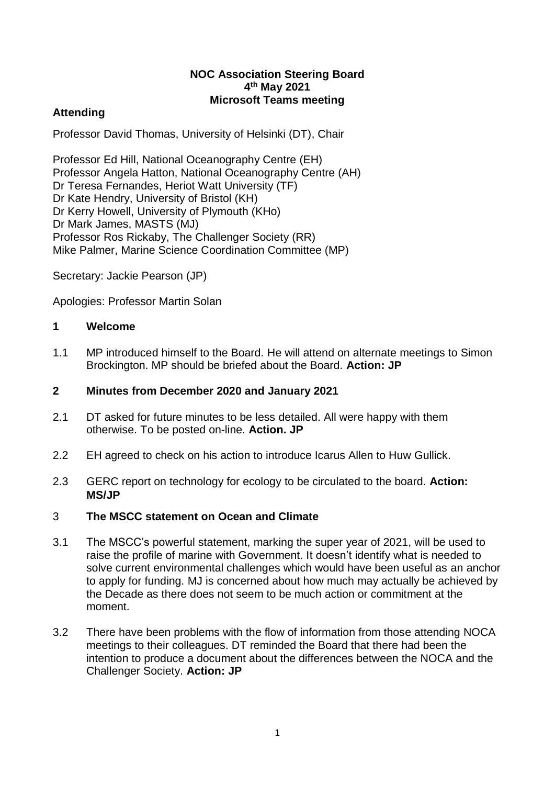#### **NOC Association Steering Board 4 th May 2021 Microsoft Teams meeting**

# **Attending**

Professor David Thomas, University of Helsinki (DT), Chair

Professor Ed Hill, National Oceanography Centre (EH) Professor Angela Hatton, National Oceanography Centre (AH) Dr Teresa Fernandes, Heriot Watt University (TF) Dr Kate Hendry, University of Bristol (KH) Dr Kerry Howell, University of Plymouth (KHo) Dr Mark James, MASTS (MJ) Professor Ros Rickaby, The Challenger Society (RR) Mike Palmer, Marine Science Coordination Committee (MP)

Secretary: Jackie Pearson (JP)

Apologies: Professor Martin Solan

### **1 Welcome**

1.1 MP introduced himself to the Board. He will attend on alternate meetings to Simon Brockington. MP should be briefed about the Board. **Action: JP**

## **2 Minutes from December 2020 and January 2021**

- 2.1 DT asked for future minutes to be less detailed. All were happy with them otherwise. To be posted on-line. **Action. JP**
- 2.2 EH agreed to check on his action to introduce Icarus Allen to Huw Gullick.
- 2.3 GERC report on technology for ecology to be circulated to the board. **Action: MS/JP**

### 3 **The MSCC statement on Ocean and Climate**

- 3.1 The MSCC's powerful statement, marking the super year of 2021, will be used to raise the profile of marine with Government. It doesn't identify what is needed to solve current environmental challenges which would have been useful as an anchor to apply for funding. MJ is concerned about how much may actually be achieved by the Decade as there does not seem to be much action or commitment at the moment.
- 3.2 There have been problems with the flow of information from those attending NOCA meetings to their colleagues. DT reminded the Board that there had been the intention to produce a document about the differences between the NOCA and the Challenger Society. **Action: JP**